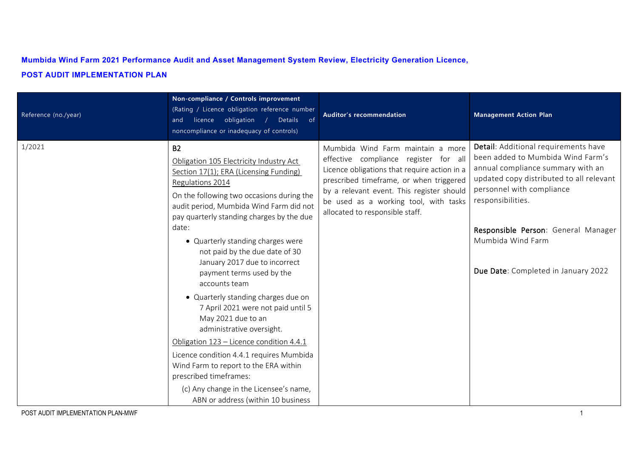## **Mumbida Wind Farm 2021 Performance Audit and Asset Management System Review, Electricity Generation Licence, POST AUDIT IMPLEMENTATION PLAN**

| Reference (no./year) | Non-compliance / Controls improvement<br>(Rating / Licence obligation reference number<br>and licence obligation /<br>Details of<br>noncompliance or inadequacy of controls)                                                                                                                                                                                                                                                                                                                                                                                                                                                                                                                                                                                                                      | Auditor's recommendation                                                                                                                                                                                                                                                                       | <b>Management Action Plan</b>                                                                                                                                                                                                                                                                                   |
|----------------------|---------------------------------------------------------------------------------------------------------------------------------------------------------------------------------------------------------------------------------------------------------------------------------------------------------------------------------------------------------------------------------------------------------------------------------------------------------------------------------------------------------------------------------------------------------------------------------------------------------------------------------------------------------------------------------------------------------------------------------------------------------------------------------------------------|------------------------------------------------------------------------------------------------------------------------------------------------------------------------------------------------------------------------------------------------------------------------------------------------|-----------------------------------------------------------------------------------------------------------------------------------------------------------------------------------------------------------------------------------------------------------------------------------------------------------------|
| 1/2021               | <b>B2</b><br>Obligation 105 Electricity Industry Act<br>Section 17(1); ERA (Licensing Funding)<br>Regulations 2014<br>On the following two occasions during the<br>audit period, Mumbida Wind Farm did not<br>pay quarterly standing charges by the due<br>date:<br>• Quarterly standing charges were<br>not paid by the due date of 30<br>January 2017 due to incorrect<br>payment terms used by the<br>accounts team<br>• Quarterly standing charges due on<br>7 April 2021 were not paid until 5<br>May 2021 due to an<br>administrative oversight.<br>Obligation 123 - Licence condition 4.4.1<br>Licence condition 4.4.1 requires Mumbida<br>Wind Farm to report to the ERA within<br>prescribed timeframes:<br>(c) Any change in the Licensee's name,<br>ABN or address (within 10 business | Mumbida Wind Farm maintain a more<br>effective compliance register for all<br>Licence obligations that require action in a<br>prescribed timeframe, or when triggered<br>by a relevant event. This register should<br>be used as a working tool, with tasks<br>allocated to responsible staff. | Detail: Additional requirements have<br>been added to Mumbida Wind Farm's<br>annual compliance summary with an<br>updated copy distributed to all relevant<br>personnel with compliance<br>responsibilities.<br>Responsible Person: General Manager<br>Mumbida Wind Farm<br>Due Date: Completed in January 2022 |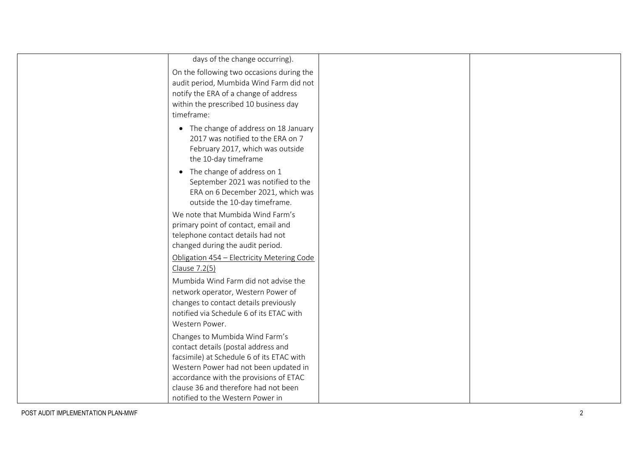| days of the change occurring).                                                                                                         |  |
|----------------------------------------------------------------------------------------------------------------------------------------|--|
| On the following two occasions during the                                                                                              |  |
| audit period, Mumbida Wind Farm did not                                                                                                |  |
| notify the ERA of a change of address                                                                                                  |  |
| within the prescribed 10 business day                                                                                                  |  |
| timeframe:                                                                                                                             |  |
| • The change of address on 18 January<br>2017 was notified to the ERA on 7<br>February 2017, which was outside<br>the 10-day timeframe |  |
| • The change of address on 1                                                                                                           |  |
| September 2021 was notified to the                                                                                                     |  |
| ERA on 6 December 2021, which was                                                                                                      |  |
| outside the 10-day timeframe.                                                                                                          |  |
| We note that Mumbida Wind Farm's                                                                                                       |  |
| primary point of contact, email and                                                                                                    |  |
| telephone contact details had not                                                                                                      |  |
| changed during the audit period.                                                                                                       |  |
| Obligation 454 - Electricity Metering Code                                                                                             |  |
| Clause 7.2(5)                                                                                                                          |  |
| Mumbida Wind Farm did not advise the                                                                                                   |  |
| network operator, Western Power of                                                                                                     |  |
| changes to contact details previously                                                                                                  |  |
| notified via Schedule 6 of its ETAC with                                                                                               |  |
| Western Power.                                                                                                                         |  |
| Changes to Mumbida Wind Farm's                                                                                                         |  |
| contact details (postal address and                                                                                                    |  |
| facsimile) at Schedule 6 of its ETAC with                                                                                              |  |
| Western Power had not been updated in                                                                                                  |  |
| accordance with the provisions of ETAC                                                                                                 |  |
| clause 36 and therefore had not been                                                                                                   |  |
| notified to the Western Power in                                                                                                       |  |